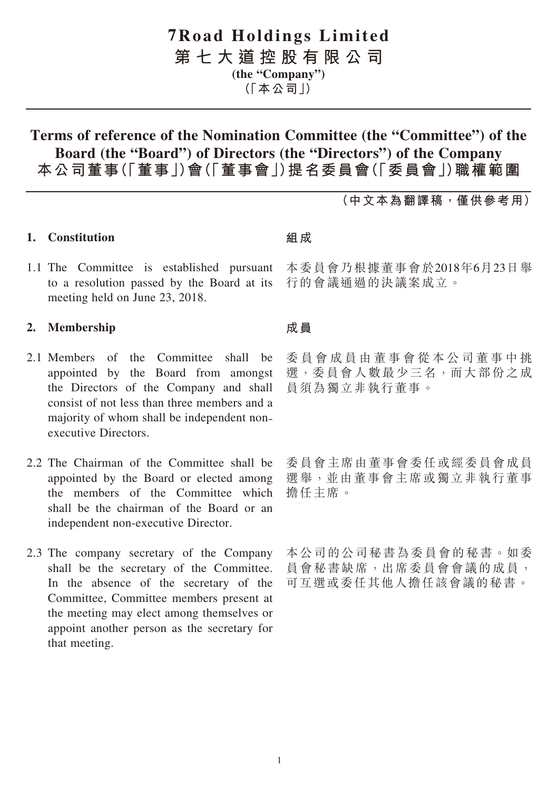# **7Road Holdings Limited**

**第七大道控股有限公司**

**(the "Company")**

**(「本公司」)**

# **Terms of reference of the Nomination Committee (the "Committee") of the Board (the "Board") of Directors (the "Directors") of the Company 本公司董事(「董事」)會(「董事會」)提名委員會(「委員會」)職權範圍**

**(中文本為翻譯稿,僅供參考用)**

# **1. Constitution**

1.1 The Committee is established pursuant to a resolution passed by the Board at its meeting held on June 23, 2018.

## **2. Membership**

- 2.1 Members of the Committee shall be appointed by the Board from amongst the Directors of the Company and shall consist of not less than three members and a majority of whom shall be independent nonexecutive Directors.
- 2.2 The Chairman of the Committee shall be appointed by the Board or elected among the members of the Committee which shall be the chairman of the Board or an independent non-executive Director.
- 2.3 The company secretary of the Company shall be the secretary of the Committee. In the absence of the secretary of the Committee, Committee members present at the meeting may elect among themselves or appoint another person as the secretary for that meeting.

## **組成**

本委員會乃根據董事會於2018年6月23日舉 行的會議通過的決議案成立。

#### **成員**

委員會成員由董事會從本公司董事中挑 選,委員會人數最少三名,而大部份之成 員須為獨立非執行董事。

委員會主席由董事會委任或經委員會成員 選舉,並由董事會主席或獨立非執行董事 擔任主席。

本公司的公司秘書為委員會的秘書。如委 員會秘書缺席,出席委員會會議的成員, 可互選或委任其他人擔任該會議的秘書。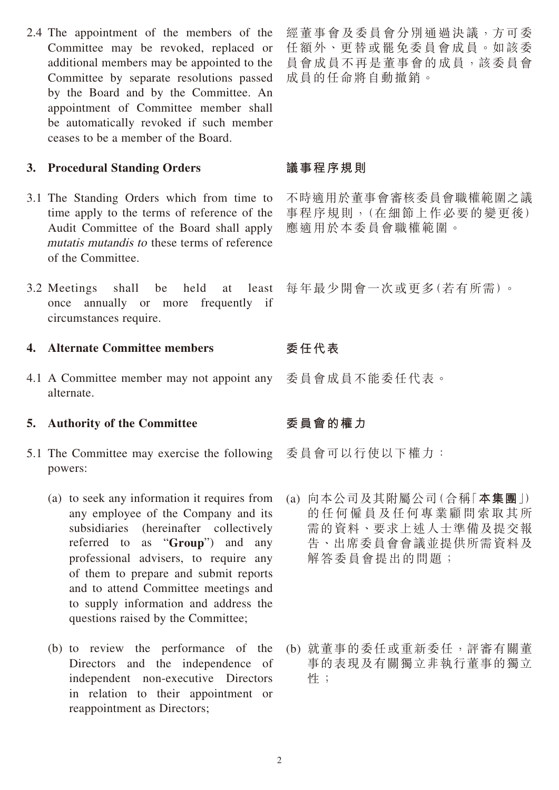2.4 The appointment of the members of the Committee may be revoked, replaced or additional members may be appointed to the Committee by separate resolutions passed by the Board and by the Committee. An appointment of Committee member shall be automatically revoked if such member ceases to be a member of the Board.

## **3. Procedural Standing Orders**

- 3.1 The Standing Orders which from time to time apply to the terms of reference of the Audit Committee of the Board shall apply mutatis mutandis to these terms of reference of the Committee.
- 3.2 Meetings shall be held at least once annually or more frequently if circumstances require.

## **4. Alternate Committee members**

4.1 A Committee member may not appoint any alternate.

#### **5. Authority of the Committee**

- 5.1 The Committee may exercise the following powers:
	- (a) to seek any information it requires from any employee of the Company and its subsidiaries (hereinafter collectively referred to as "**Group**") and any professional advisers, to require any of them to prepare and submit reports and to attend Committee meetings and to supply information and address the questions raised by the Committee;
	- (b) to review the performance of the Directors and the independence of independent non-executive Directors in relation to their appointment or reappointment as Directors;

經董事會及委員會分別通過決議,方可委 任額外、更替或罷免委員會成員。如該委 員會成員不再是董事會的成員,該委員會 成員的任命將自動撤銷。

## **議事程序規則**

不時適用於董事會審核委員會職權範圍之議 事程序規則,(在細節上作必要的變更後) 應適用於本委員會職權範圍。

每年最少開會一次或更多(若有所需)。

# **委任代表**

委員會成員不能委任代表。

## **委員會的權力**

委員會可以行使以下權力:

- (a) 向本公司及其附屬公司(合稱「**本集團**」) 的任何僱員及任何專業顧問索取其所 需的資料、要求上述人士準備及提交報 告、出席委員會會議並提供所需資料及 解答委員會提出的問題;
- (b) 就董事的委任或重新委任,評審有關董 事的表現及有關獨立非執行董事的獨立 性;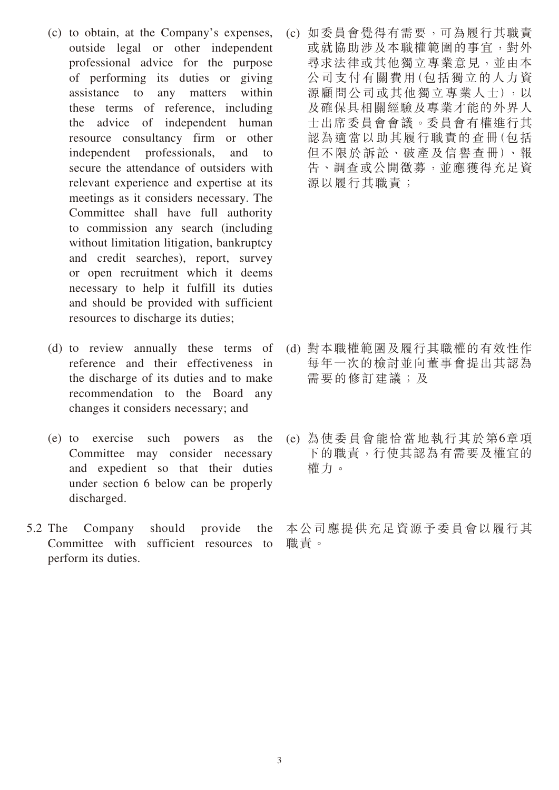- (c) to obtain, at the Company's expenses, outside legal or other independent professional advice for the purpose of performing its duties or giving assistance to any matters within these terms of reference, including the advice of independent human resource consultancy firm or other independent professionals, and to secure the attendance of outsiders with relevant experience and expertise at its meetings as it considers necessary. The Committee shall have full authority to commission any search (including without limitation litigation, bankruptcy and credit searches), report, survey or open recruitment which it deems necessary to help it fulfill its duties and should be provided with sufficient resources to discharge its duties;
- (d) to review annually these terms of reference and their effectiveness in the discharge of its duties and to make recommendation to the Board any changes it considers necessary; and
- (e) to exercise such powers as the Committee may consider necessary and expedient so that their duties under section 6 below can be properly discharged.
- 5.2 The Company should provide the Committee with sufficient resources to perform its duties.

(c) 如委員會覺得有需要,可為履行其職責 或就協助涉及本職權範圍的事宜,對外 尋求法律或其他獨立專業意見,並由本 公司支付有關費用(包括獨立的人力資 源顧問公司或其他獨立專業人士),以 及確保具相關經驗及專業才能的外界人 士出席委員會會議。委員會有權進行其 認為適當以助其履行職責的查冊(包括 但不限於訴訟、破產及信譽查冊)、報 告、調查或公開徵募,並應獲得充足資 源以履行其職責;

- (d) 對本職權範圍及履行其職權的有效性作 每年一次的檢討並向董事會提出其認為 需要的修訂建議;及
- (e) 為使委員會能恰當地執行其於第6章項 下的職責,行使其認為有需要及權宜的 權力。

本公司應提供充足資源予委員會以履行其 職責。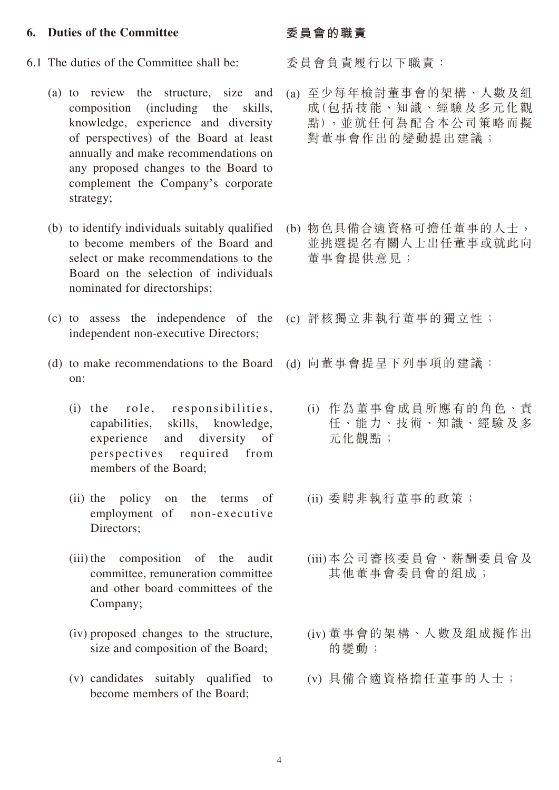#### **6. Duties of the Committee**

- 6.1 The duties of the Committee shall be:
	- (a) to review the structure, size and composition (including the skills, knowledge, experience and diversity of perspectives) of the Board at least annually and make recommendations on any proposed changes to the Board to complement the Company's corporate strategy;
	- (b) to identify individuals suitably qualified to become members of the Board and select or make recommendations to the Board on the selection of individuals nominated for directorships;
	- (c) to assess the independence of the independent non-executive Directors;
	- (d) to make recommendations to the Board on:
		- (i) the role, responsibilities, capabilities, skills, knowledge, experience and diversity of perspectives required from members of the Board;
		- (ii) the policy on the terms of employment of non-executive Directors;
		- (iii) the composition of the audit committee, remuneration committee and other board committees of the Company;
		- (iv) proposed changes to the structure, size and composition of the Board;
		- (v) candidates suitably qualified to become members of the Board;

#### **委員會的職責**

委員會負責履行以下職責:

- (a) 至少每年檢討董事會的架構、人數及組 成(包括技能、知識、經驗及多元化觀 點),並就任何為配合本公司策略而擬 對董事會作出的變動提出建議;
- (b) 物色具備合適資格可擔任董事的人士, 並挑選提名有關人士出任董事或就此向 董事會提供意見;
- (c) 評核獨立非執行董事的獨立性;
- (d) 向董事會提呈下列事項的建議:
	- (i) 作為董事會成員所應有的角色、責 任、能力、技術、知識、經驗及多 元化觀點;
	- (ii) 委聘非執行董事的政策;
	- (iii) 本公司審核委員會、薪酬委員會及 其他董事會委員會的組成;
	- (iv) 董事會的架構、人數及組成擬作出 的變動;
	- (v) 具備合適資格擔任董事的人士;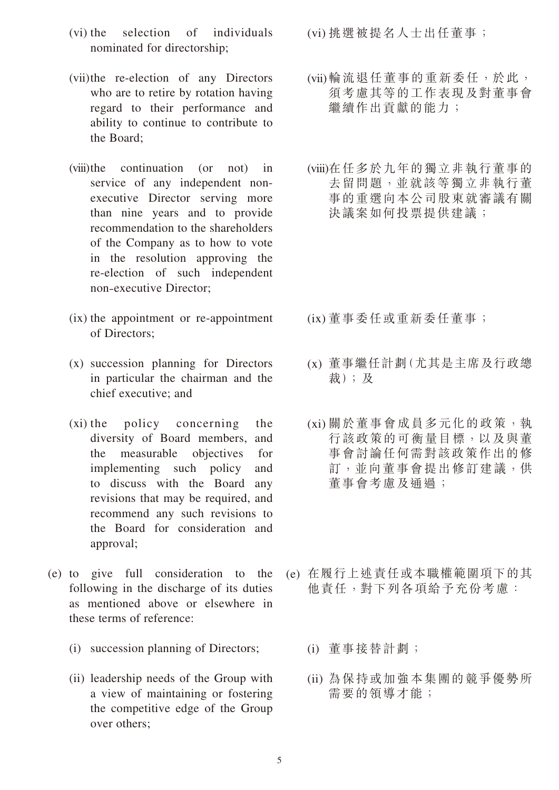- (vi) the selection of individuals nominated for directorship;
- (vii)the re-election of any Directors who are to retire by rotation having regard to their performance and ability to continue to contribute to the Board;
- (viii)the continuation (or not) in service of any independent nonexecutive Director serving more than nine years and to provide recommendation to the shareholders of the Company as to how to vote in the resolution approving the re-election of such independent non-executive Director;
- (ix) the appointment or re-appointment of Directors;
- (x) succession planning for Directors in particular the chairman and the chief executive; and
- (xi) the policy concerning the diversity of Board members, and the measurable objectives for implementing such policy and to discuss with the Board any revisions that may be required, and recommend any such revisions to the Board for consideration and approval;
- (e) to give full consideration to the following in the discharge of its duties as mentioned above or elsewhere in these terms of reference:
	- (i) succession planning of Directors;
	- (ii) leadership needs of the Group with a view of maintaining or fostering the competitive edge of the Group over others;

(vi) 挑選被提名人士出任董事;

- (vii) 輪流退任董事的重新委任,於此, 須考慮其等的工作表現及對董事會 繼續作出貢獻的能力;
- (viii) 在任多於九年的獨立非執行董事的 去留問題,並就該等獨立非執行董 事的重選向本公司股東就審議有關 決議案如何投票提供建議;

- (ix) 董事委任或重新委任董事;
- (x) 董事繼任計劃(尤其是主席及行政總 裁);及
- (xi) 關於董事會成員多元化的政策,執 行該政策的可衡量目標,以及與董 事會討論任何需對該政策作出的修 訂,並向董事會提出修訂建議,供 董事會考慮及通過;
- (e) 在履行上述責任或本職權範圍項下的其 他責任,對下列各項給予充份考慮:
	- (i) 董事接替計劃;
	- (ii) 為保持或加強本集團的競爭優勢所 需要的領導才能;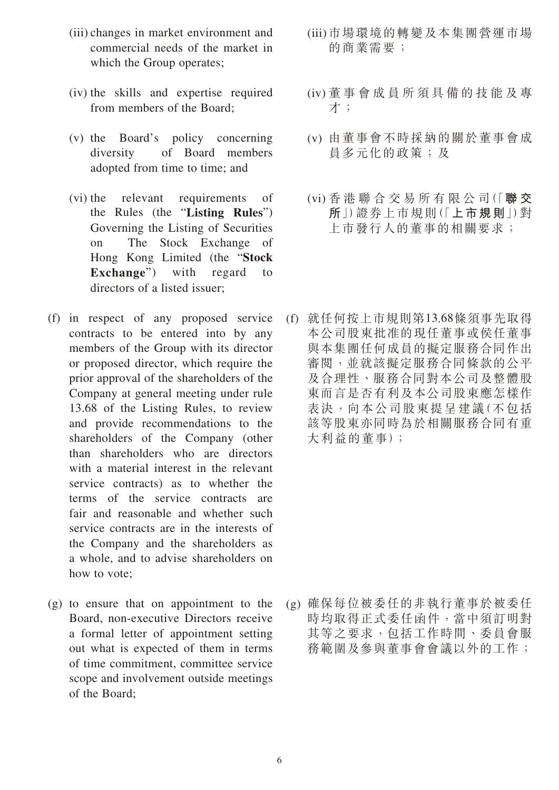- (iii) changes in market environment and commercial needs of the market in which the Group operates;
- (iv) the skills and expertise required from members of the Board;
- (v) the Board's policy concerning diversity of Board members adopted from time to time; and
- (vi) the relevant requirements of the Rules (the "**Listing Rules**") Governing the Listing of Securities on The Stock Exchange of Hong Kong Limited (the "**Stock Exchange**") with regard to directors of a listed issuer;
- (f) in respect of any proposed service contracts to be entered into by any members of the Group with its director or proposed director, which require the prior approval of the shareholders of the Company at general meeting under rule 13.68 of the Listing Rules, to review and provide recommendations to the shareholders of the Company (other than shareholders who are directors with a material interest in the relevant service contracts) as to whether the terms of the service contracts are fair and reasonable and whether such service contracts are in the interests of the Company and the shareholders as a whole, and to advise shareholders on how to vote;
- (g) to ensure that on appointment to the Board, non-executive Directors receive a formal letter of appointment setting out what is expected of them in terms of time commitment, committee service scope and involvement outside meetings of the Board;
- (iii) 市場環境的轉變及本集團營運市場 的商業需要;
- (iv) 董事會成員所須具備的技能及專 才;
- (v) 由董事會不時採納的關於董事會成 員多元化的政策;及
- (vi) 香 港 聯 合 交 易 所 有 限 公 司(「**聯 交 所**」)證券上市規則(「**上市規則**」)對 上市發行人的董事的相關要求;
- (f) 就任何按上市規則第13.68條須事先取得 本公司股東批准的現任董事或侯任董事 與本集團任何成員的擬定服務合同作出 審閱,並就該擬定服務合同條款的公平 及合理性、服務合同對本公司及整體股 東而言是否有利及本公司股東應怎樣作 表決,向本公司股東提呈建議(不包括 該等股東亦同時為於相關服務合同有重 大利益的董事);

(g) 確保每位被委任的非執行董事於被委任 時均取得正式委任函件,當中須訂明對 其等之要求,包括工作時間、委員會服 務範圍及參與董事會會議以外的工作;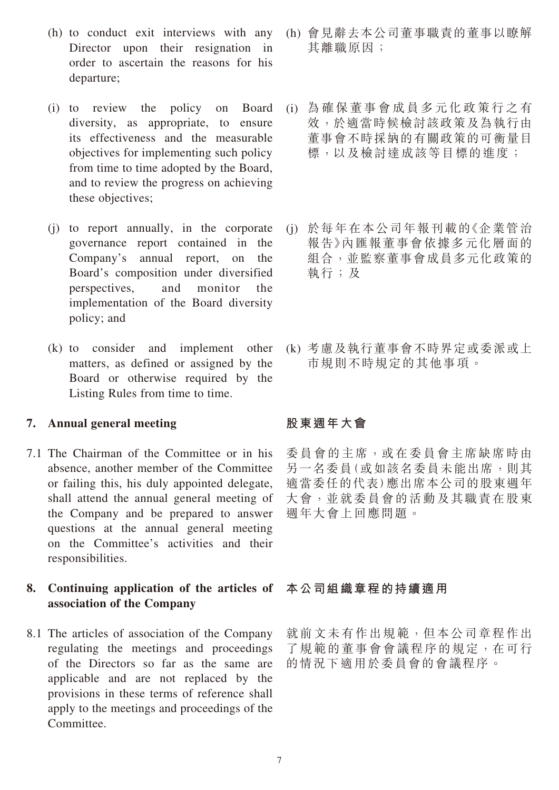- (h) to conduct exit interviews with any Director upon their resignation in order to ascertain the reasons for his departure;
- (i) to review the policy on Board diversity, as appropriate, to ensure its effectiveness and the measurable objectives for implementing such policy from time to time adopted by the Board, and to review the progress on achieving these objectives;
- (j) to report annually, in the corporate governance report contained in the Company's annual report, on the Board's composition under diversified perspectives, and monitor the implementation of the Board diversity policy; and
- (k) to consider and implement other matters, as defined or assigned by the Board or otherwise required by the Listing Rules from time to time.

#### **7. Annual general meeting**

- 7.1 The Chairman of the Committee or in his absence, another member of the Committee or failing this, his duly appointed delegate, shall attend the annual general meeting of the Company and be prepared to answer questions at the annual general meeting on the Committee's activities and their responsibilities.
- **8. Continuing application of the articles of association of the Company**
- 8.1 The articles of association of the Company regulating the meetings and proceedings of the Directors so far as the same are applicable and are not replaced by the provisions in these terms of reference shall apply to the meetings and proceedings of the Committee.
- (h) 會見辭去本公司董事職責的董事以瞭解 其離職原因;
- (i) 為確保董事會成員多元化政策行之有 效,於適當時候檢討該政策及為執行由 董事會不時採納的有關政策的可衡量目 標,以及檢討達成該等目標的進度;
- (j) 於每年在本公司年報刊載的《企業管治 報告》內匯報董事會依據多元化層面的 組合,並監察董事會成員多元化政策的 執行;及
- (k) 考慮及執行董事會不時界定或委派或上 市規則不時規定的其他事項。

# **股東週年大會**

委員會的主席,或在委員會主席缺席時由 另一名委員(或如該名委員未能出席,則其 適當委任的代表)應出席本公司的股東週年 大會,並就委員會的活動及其職責在股東 週年大會上回應問題。

## **本公司組織章程的持續適用**

就前文未有作出規範,但本公司章程作出 了規範的董事會會議程序的規定,在可行 的情況下適用於委員會的會議程序。